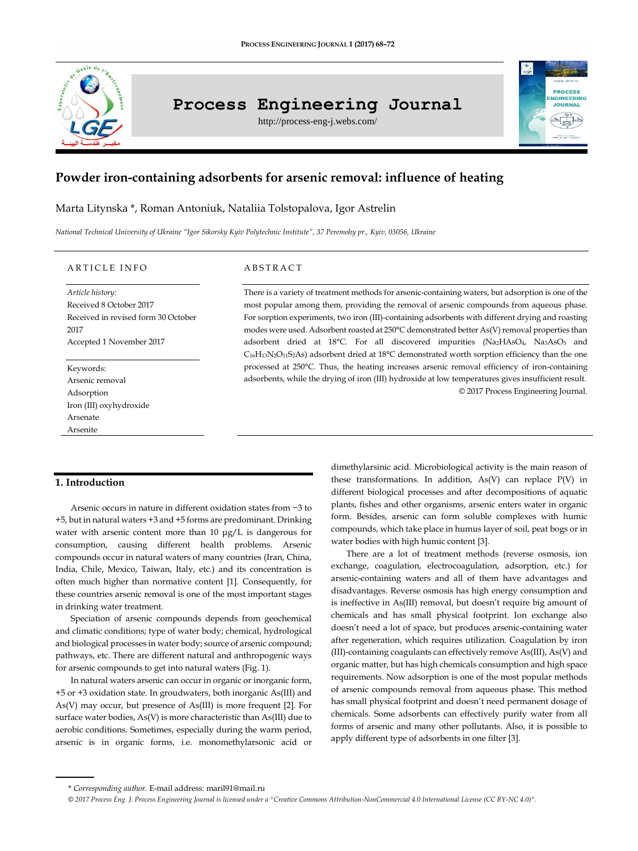

# **Process Engineering Journal**

http://process-eng-j.webs.com/



## **Powder iron-containing adsorbents for arsenic removal: influence of heating**

## Marta Litynska \*, Roman Antoniuk, Nataliia Tolstopalova, Igor Astrelin

*National Technical University of Ukraine "Igor Sikorsky Kyiv Polytechnic Institute", 37 Peremohy pr., Kyiv, 03056, Ukraine*

#### A R T I C L E IN FO

*Article history:* Received 8 October 2017 Received in revised form 30 October 2017 Accepted 1 November 2017

Keywords: Arsenic removal Adsorption Iron (III) oxyhydroxide Arsenate Arsenite

#### A B S T R A C T

There is a variety of treatment methods for arsenic-containing waters, but adsorption is one of the most popular among them, providing the removal of arsenic compounds from aqueous phase. For sorption experiments, two iron (III)-containing adsorbents with different drying and roasting modes were used. Adsorbent roasted at 250°C demonstrated better As(V) removal properties than adsorbent dried at 18°C. For all discovered impurities (Na2HAsO4, Na3AsO3 and C16H13N2O11S2As) adsorbent dried at 18°C demonstrated worth sorption efficiency than the one processed at 250°C. Thus, the heating increases arsenic removal efficiency of iron-containing adsorbents, while the drying of iron (III) hydroxide at low temperatures gives insufficient result. © 2017 Process Engineering Journal.

#### **1. Introduction**

Arsenic occurs in nature in different oxidation states from −3 to +5, but in natural waters +3 and +5 forms are predominant. Drinking water with arsenic content more than 10 μg/L is dangerous for consumption, causing different health problems. Arsenic compounds occur in natural waters of many countries (Iran, China, India, Chile, Mexico, Taiwan, Italy, etc.) and its concentration is often much higher than normative content [1]. Consequently, for these countries arsenic removal is one of the most important stages in drinking water treatment.

Speciation of arsenic compounds depends from geochemical and climatic conditions; type of water body; chemical, hydrological and biological processes in water body; source of arsenic compound; pathways, etc. There are different natural and anthropogenic ways for arsenic compounds to get into natural waters (Fig. 1).

In natural waters arsenic can occur in organic or inorganic form, +5 or +3 oxidation state. In groudwaters, both inorganic As(III) and As(V) may occur, but presence of As(III) is more frequent [2]. For surface water bodies, As(V) is more characteristic than As(III) due to aerobic conditions. Sometimes, especially during the warm period, arsenic is in organic forms, i.e. monomethylarsonic acid or

dimethylarsinic acid. Microbiological activity is the main reason of these transformations. In addition, As(V) can replace P(V) in different biological processes and after decompositions of aquatic plants, fishes and other organisms, arsenic enters water in organic form. Besides, arsenic can form soluble complexes with humic compounds, which take place in humus layer of soil, peat bogs or in water bodies with high humic content [3].

There are a lot of treatment methods (reverse osmosis, ion exchange, coagulation, electrocoagulation, adsorption, etc.) for arsenic-containing waters and all of them have advantages and disadvantages. Reverse osmosis has high energy consumption and is ineffective in As(III) removal, but doesn't require big amount of chemicals and has small physical footprint. Ion exchange also doesn't need a lot of space, but produces arsenic-containing water after regeneration, which requires utilization. Coagulation by iron (III)-containing coagulants can effectively remove As(III), As(V) and organic matter, but has high chemicals consumption and high space requirements. Now adsorption is one of the most popular methods of arsenic compounds removal from aqueous phase. This method has small physical footprint and doesn't need permanent dosage of chemicals. Some adsorbents can effectively purify water from all forms of arsenic and many other pollutants. Also, it is possible to apply different type of adsorbents in one filter [3].

<sup>\*</sup> *Corresponding author.* E-mail address: maril91@mail.ru

*<sup>© 2017</sup> Process Eng. J. Process Engineering Journal is licensed under [a "Creative Commons Attribution-NonCommercial 4.0 International License \(CC BY-NC 4.0\)".](https://creativecommons.org/licenses/by-nc/4.0/)*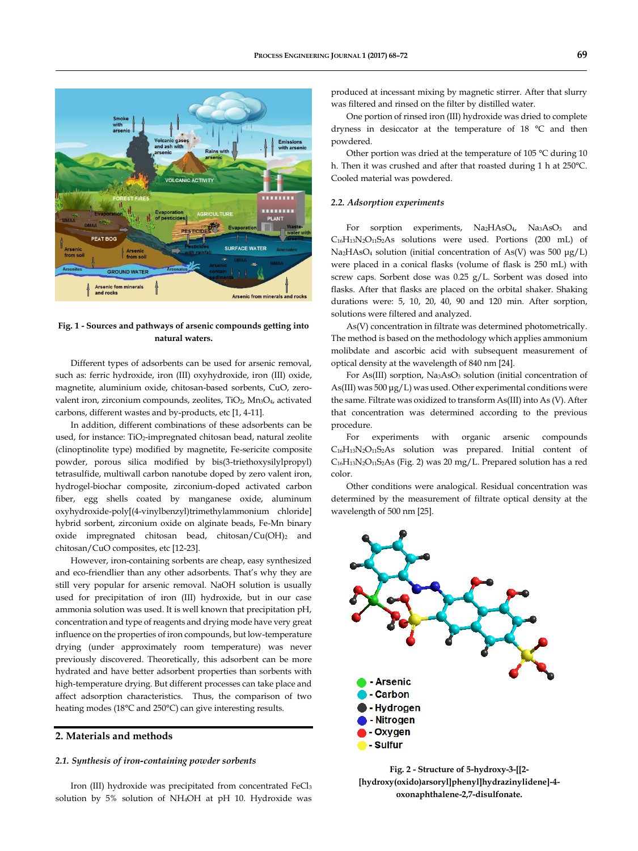

#### **Fig. 1 - Sources and pathways of arsenic compounds getting into natural waters.**

Different types of adsorbents can be used for arsenic removal, such as: ferric hydroxide, iron (III) oxyhydroxide, iron (III) oxide, magnetite, aluminium oxide, chitosan-based sorbents, CuO, zerovalent iron, zirconium compounds, zeolites, TiO<sub>2</sub>, Mn<sub>3</sub>O<sub>4</sub>, activated carbons, different wastes and by-products, etc [1, 4-11].

In addition, different combinations of these adsorbents can be used, for instance: TiO<sub>2</sub>-impregnated chitosan bead, natural zeolite (clinoptinolite type) modified by magnetite, Fe-sericite composite powder, porous silica modified by bis(3-triethoxysilylpropyl) tetrasulfide, multiwall carbon nanotube doped by zero valent iron, hydrogel-biochar composite, zirconium-doped activated carbon fiber, egg shells coated by manganese oxide, aluminum oxyhydroxide-poly[(4-vinylbenzyl)trimethylammonium chloride] hybrid sorbent, zirconium oxide on alginate beads, Fe-Mn binary oxide impregnated chitosan bead, chitosan/Cu(OH)<sub>2</sub> and chitosan/CuO composites, etc [12-23].

However, iron-containing sorbents are cheap, easy synthesized and eco-friendlier than any other adsorbents. That's why they are still very popular for arsenic removal. NaOH solution is usually used for precipitation of iron (III) hydroxide, but in our case ammonia solution was used. It is well known that precipitation pH, concentration and type of reagents and drying mode have very great influence on the properties of iron compounds, but low-temperature drying (under approximately room temperature) was never previously discovered. Theoretically, this adsorbent can be more hydrated and have better adsorbent properties than sorbents with high-temperature drying. But different processes can take place and affect adsorption characteristics. Thus, the comparison of two heating modes (18°C and 250°C) can give interesting results.

## **2. Materials and methods**

#### *2.1. Synthesis of iron-containing powder sorbents*

Iron (III) hydroxide was precipitated from concentrated FeCl<sub>3</sub> solution by 5% solution of NH4OH at pH 10. Hydroxide was produced at incessant mixing by magnetic stirrer. After that slurry was filtered and rinsed on the filter by distilled water.

One portion of rinsed iron (III) hydroxide was dried to complete dryness in desiccator at the temperature of 18 °C and then powdered.

Other portion was dried at the temperature of 105 °C during 10 h. Then it was crushed and after that roasted during 1 h at 250°C. Cooled material was powdered.

#### *2.2. Adsorption experiments*

For sorption experiments, Na<sub>2</sub>HAsO<sub>4</sub>, Na<sub>3</sub>AsO<sub>3</sub> and C16H13N2O11S2As solutions were used. Portions (200 mL) of Na2HAsO<sup>4</sup> solution (initial concentration of As(V) was 500 μg/L) were placed in a conical flasks (volume of flask is 250 mL) with screw caps. Sorbent dose was 0.25 g/L. Sorbent was dosed into flasks. After that flasks are placed on the orbital shaker. Shaking durations were: 5, 10, 20, 40, 90 and 120 min. After sorption, solutions were filtered and analyzed.

As(V) concentration in filtrate was determined photometrically. The method is based on the methodology which applies ammonium molibdate and ascorbic acid with subsequent measurement of optical density at the wavelength of 840 nm [24].

For As(III) sorption, Na<sub>3</sub>AsO<sub>3</sub> solution (initial concentration of As(III) was 500 μg/L) was used. Other experimental conditions were the same. Filtrate was oxidized to transform As(III) into As (V). After that concentration was determined according to the previous procedure.

For experiments with organic arsenic compounds  $C_{16}H_{13}N_2O_{11}S_2As$  solution was prepared. Initial content of C16H13N2O11S2As (Fig. 2) was 20 mg/L. Prepared solution has a red color.

Other conditions were analogical. Residual concentration was determined by the measurement of filtrate optical density at the wavelength of 500 nm [25].



**Fig. 2 - Structure of 5-hydroxy-3-[[2- [hydroxy(oxido)arsoryl]phenyl]hydrazinylidene]-4 oxonaphthalene-2,7-disulfonate.**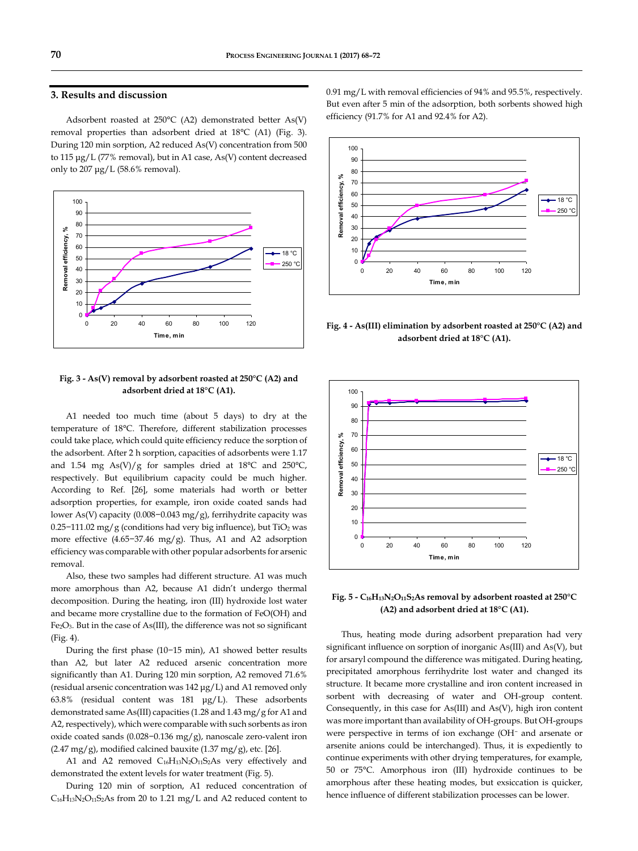## **3. Results and discussion**

Adsorbent roasted at 250°C (A2) demonstrated better As(V) removal properties than adsorbent dried at 18°C (A1) (Fig. 3). During 120 min sorption, A2 reduced As(V) concentration from 500 to 115 μg/L (77% removal), but in A1 case, As(V) content decreased only to 207 μg/L (58.6% removal).



### **Fig. 3 - As(V) removal by adsorbent roasted at 250°C (A2) and adsorbent dried at 18°C (A1).**

A1 needed too much time (about 5 days) to dry at the temperature of 18°C. Therefore, different stabilization processes could take place, which could quite efficiency reduce the sorption of the adsorbent. After 2 h sorption, capacities of adsorbents were 1.17 and 1.54 mg As(V)/g for samples dried at  $18^{\circ}$ C and  $250^{\circ}$ C, respectively. But equilibrium capacity could be much higher. According to Ref. [26], some materials had worth or better adsorption properties, for example, iron oxide coated sands had lower As(V) capacity (0.008−0.043 mg/g), ferrihydrite capacity was 0.25−111.02 mg/g (conditions had very big influence), but TiO<sup>2</sup> was more effective (4.65−37.46 mg/g). Thus, A1 and A2 adsorption efficiency was comparable with other popular adsorbents for arsenic removal.

Also, these two samples had different structure. A1 was much more amorphous than A2, because A1 didn't undergo thermal decomposition. During the heating, iron (III) hydroxide lost water and became more crystalline due to the formation of FeO(OH) and Fe2O3. But in the case of As(III), the difference was not so significant (Fig. 4).

During the first phase (10−15 min), A1 showed better results than A2, but later A2 reduced arsenic concentration more significantly than A1. During 120 min sorption, A2 removed 71.6% (residual arsenic concentration was 142 μg/L) and A1 removed only 63.8% (residual content was 181 μg/L). These adsorbents demonstrated same As(III) capacities (1.28 and 1.43 mg/g for A1 and A2, respectively), which were comparable with such sorbents as iron oxide coated sands (0.028−0.136 mg/g), nanoscale zero-valent iron  $(2.47 \text{ mg/g})$ , modified calcined bauxite  $(1.37 \text{ mg/g})$ , etc. [26].

A1 and A2 removed C<sub>16</sub>H<sub>13</sub>N<sub>2</sub>O<sub>11</sub>S<sub>2</sub>As very effectively and demonstrated the extent levels for water treatment (Fig. 5).

During 120 min of sorption, A1 reduced concentration of C16H13N2O11S2As from 20 to 1.21 mg/L and A2 reduced content to 0.91 mg/L with removal efficiencies of 94% and 95.5%, respectively. But even after 5 min of the adsorption, both sorbents showed high efficiency (91.7% for A1 and 92.4% for A2).



**Fig. 4 - As(III) elimination by adsorbent roasted at 250°C (A2) and adsorbent dried at 18°C (A1).**



**Fig. 5 - C16H13N2O11S2As removal by adsorbent roasted at 250°C (A2) and adsorbent dried at 18°C (A1).**

Thus, heating mode during adsorbent preparation had very significant influence on sorption of inorganic As(III) and As(V), but for arsaryl compound the difference was mitigated. During heating, precipitated amorphous ferrihydrite lost water and changed its structure. It became more crystalline and iron content increased in sorbent with decreasing of water and OH-group content. Consequently, in this case for As(III) and As(V), high iron content was more important than availability of OH-groups. But OH-groups were perspective in terms of ion exchange (OH<sup>−</sup> and arsenate or arsenite anions could be interchanged). Thus, it is expediently to continue experiments with other drying temperatures, for example, 50 or 75°C. Amorphous iron (III) hydroxide continues to be amorphous after these heating modes, but exsiccation is quicker, hence influence of different stabilization processes can be lower.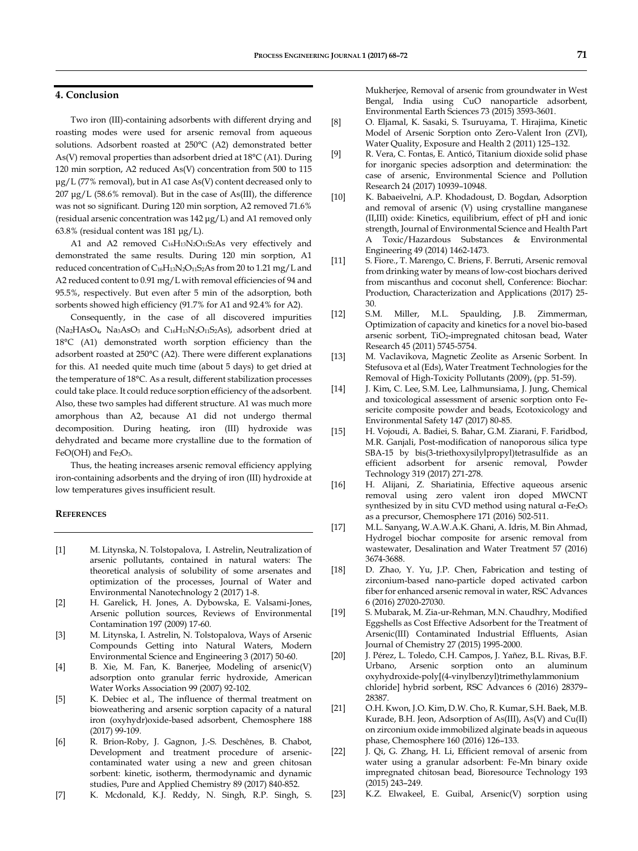## **4. Conclusion**

Two iron (III)-containing adsorbents with different drying and roasting modes were used for arsenic removal from aqueous solutions. Adsorbent roasted at 250°C (A2) demonstrated better As(V) removal properties than adsorbent dried at 18°C (A1). During 120 min sorption, A2 reduced As(V) concentration from 500 to 115 μg/L (77% removal), but in A1 case As(V) content decreased only to 207 μg/L (58.6% removal). But in the case of As(III), the difference was not so significant. During 120 min sorption, A2 removed 71.6% (residual arsenic concentration was 142 μg/L) and A1 removed only 63.8% (residual content was 181 μg/L).

A1 and A2 removed C<sub>16</sub>H<sub>13</sub>N<sub>2</sub>O<sub>11</sub>S<sub>2</sub>As very effectively and demonstrated the same results. During 120 min sorption, A1 reduced concentration of C16H13N2O11S2As from 20 to 1.21 mg/L and A2 reduced content to 0.91 mg/L with removal efficiencies of 94 and 95.5%, respectively. But even after 5 min of the adsorption, both sorbents showed high efficiency (91.7% for A1 and 92.4% for A2).

Consequently, in the case of all discovered impurities (Na2HAsO4, Na3AsO<sup>3</sup> and C16H13N2O11S2As), adsorbent dried at 18°C (A1) demonstrated worth sorption efficiency than the adsorbent roasted at 250°C (A2). There were different explanations for this. A1 needed quite much time (about 5 days) to get dried at the temperature of 18°C. As a result, different stabilization processes could take place. It could reduce sorption efficiency of the adsorbent. Also, these two samples had different structure. A1 was much more amorphous than A2, because A1 did not undergo thermal decomposition. During heating, iron (III) hydroxide was dehydrated and became more crystalline due to the formation of  $FeO(OH)$  and  $Fe<sub>2</sub>O<sub>3</sub>$ .

Thus, the heating increases arsenic removal efficiency applying iron-containing adsorbents and the drying of iron (III) hydroxide at low temperatures gives insufficient result.

#### **REFERENCES**

- [1] M. Litynska, N. Tolstopalova, I. Astrelin, Neutralization of arsenic pollutants, contained in natural waters: The theoretical analysis of solubility of some arsenates and optimization of the processes, Journal of Water and Environmental Nanotechnology 2 (2017) 1-8.
- [2] H. Garelick, H. Jones, A. Dybowska, E. Valsami-Jones, Arsenic pollution sources, Reviews of Environmental Contamination 197 (2009) 17-60.
- [3] M. Litynska, I. Astrelin, N. Tolstopalova, Ways of Arsenic Compounds Getting into Natural Waters, Modern Environmental Science and Engineering 3 (2017) 50-60.
- [4] B. Xie, M. Fan, K. Banerjee, Modeling of arsenic(V) adsorption onto granular ferric hydroxide, American Water Works Association 99 (2007) 92-102.
- [5] K. Debiec et al., The influence of thermal treatment on bioweathering and arsenic sorption capacity of a natural iron (oxyhydr)oxide-based adsorbent, Chemosphere 188 (2017) 99-109.
- [6] R. Brion-Roby, J. Gagnon, J.-S. Deschênes, B. Chabot, Development and treatment procedure of arseniccontaminated water using a new and green chitosan sorbent: kinetic, isotherm, thermodynamic and dynamic studies, Pure and Applied Chemistry 89 (2017) 840-852.
- [7] K. Mcdonald, K.J. Reddy, N. Singh, R.P. Singh, S.

Mukherjee, Removal of arsenic from groundwater in West Bengal, India using CuO nanoparticle adsorbent, Environmental Earth Sciences 73 (2015) 3593-3601.

- [8] O. Eljamal, K. Sasaki, S. Tsuruyama, T. Hirajima, Kinetic Model of Arsenic Sorption onto Zero-Valent Iron (ZVI), Water Quality, Exposure and Health 2 (2011) 125–132.
- [9] R. Vera, C. Fontas, E. Anticó, Titanium dioxide solid phase for inorganic species adsorption and determination: the case of arsenic, Environmental Science and Pollution Research 24 (2017) 10939–10948.
- [10] K. Babaeivelni, A.P. Khodadoust, D. Bogdan, Adsorption and removal of arsenic (V) using crystalline manganese (II,III) oxide: Kinetics, equilibrium, effect of pH and ionic strength, Journal of Environmental Science and Health Part A Toxic/Hazardous Substances & Environmental Engineering 49 (2014) 1462-1473.
- [11] S. Fiore., T. Marengo, C. Briens, F. Berruti, Arsenic removal from drinking water by means of low-cost biochars derived from miscanthus and coconut shell, Conference: Biochar: Production, Characterization and Applications (2017) 25- 30.
- [12] S.M. Miller, M.L. Spaulding, J.B. Zimmerman, Optimization of capacity and kinetics for a novel bio-based arsenic sorbent, TiO2-impregnated chitosan bead, Water Research 45 (2011) 5745-5754.
- [13] M. Vaclavikova, Magnetic Zeolite as Arsenic Sorbent. In Stefusova et al (Eds), Water Treatment Technologies for the Removal of High-Toxicity Pollutants (2009), (pp. 51-59).
- [14] J. Kim, C. Lee, S.M. Lee, Lalhmunsiama, J. Jung, Chemical and toxicological assessment of arsenic sorption onto Fesericite composite powder and beads, Ecotoxicology and Environmental Safety 147 (2017) 80-85.
- [15] H. Vojoudi, A. Badiei, S. Bahar, G.M. Ziarani, F. Faridbod, M.R. Ganjali, Post-modification of nanoporous silica type SBA-15 by bis(3-triethoxysilylpropyl)tetrasulfide as an efficient adsorbent for arsenic removal, Powder Technology 319 (2017) 271-278.
- [16] H. Alijani, Z. Shariatinia, Effective aqueous arsenic removal using zero valent iron doped MWCNT synthesized by in situ CVD method using natural α-Fe2O<sup>3</sup> as a precursor, Chemosphere 171 (2016) 502-511.
- [17] M.L. Sanyang[, W.A.W.A.K. Ghani,](http://www.tandfonline.com/author/Ghani%2C+Wan+Azlina+Wan+Abd+Karim) [A. Idris,](http://www.tandfonline.com/author/Idris%2C+Azni) [M. Bin Ahmad,](http://www.tandfonline.com/author/Ahmad%2C+Mansor+Bin) Hydrogel biochar composite for arsenic removal from wastewater, Desalination and Water Treatment 57 (2016) 3674-3688.
- [18] D. Zhao, Y. Yu, J.P. Chen, Fabrication and testing of zirconium-based nano-particle doped activated carbon fiber for enhanced arsenic removal in water, RSC Advances 6 (2016) 27020-27030.
- [19] S. Mubarak, M. Zia-ur-Rehman, M.N. Chaudhry, Modified Eggshells as Cost Effective Adsorbent for the Treatment of Arsenic(III) Contaminated Industrial Effluents, Asian Journal of Chemistry 27 (2015) 1995-2000.
- [20] J. Pérez, L. Toledo, C.H. Campos, J. Yañez, B.L. Rivas, B.F. Urbano, Arsenic sorption onto an aluminum oxyhydroxide-poly[(4-vinylbenzyl)trimethylammonium chloride] hybrid sorbent, RSC Advances 6 (2016) 28379– 28387.
- [21] O.H. Kwon, J.O. Kim, D.W. Cho, R. Kumar, S.H. Baek, M.B. Kurade, B.H. Jeon, Adsorption of As(III), As(V) and Cu(II) on zirconium oxide immobilized alginate beads in aqueous phase, Chemosphere 160 (2016) 126–133.
- [22] J. Qi, G. Zhang, H. Li, Efficient removal of arsenic from water using a granular adsorbent: Fe-Mn binary oxide impregnated chitosan bead, Bioresource Technology 193 (2015) 243–249.
- [23] K.Z. Elwakeel, E. Guibal, Arsenic(V) sorption using